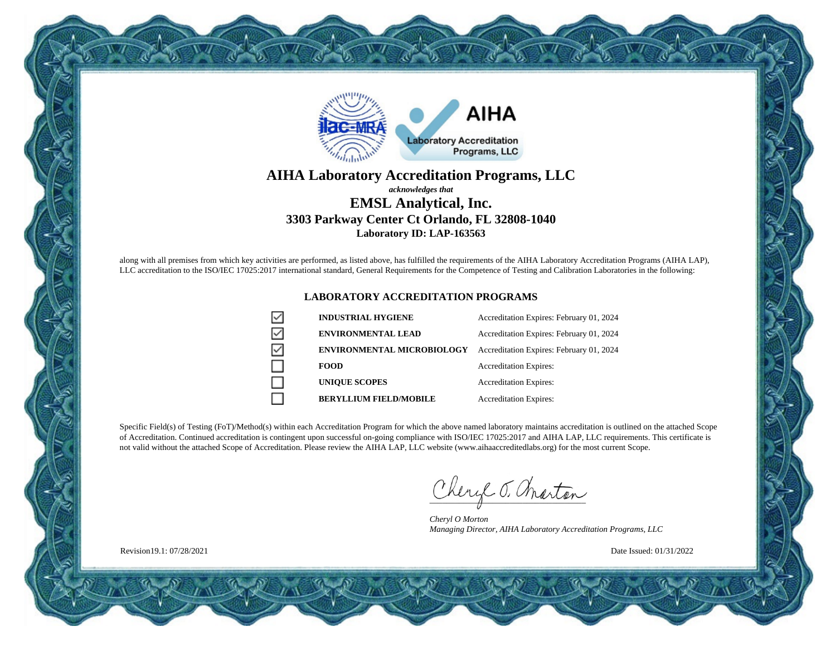

#### **AIHA Laboratory Accreditation Programs, LLC** *acknowledges that* **EMSL Analytical, Inc. 3303 Parkway Center Ct Orlando, FL 32808-1040 Laboratory ID: LAP-163563**

along with all premises from which key activities are performed, as listed above, has fulfilled the requirements of the AIHA Laboratory Accreditation Programs (AIHA LAP), LLC accreditation to the ISO/IEC 17025:2017 international standard, General Requirements for the Competence of Testing and Calibration Laboratories in the following:

#### **LABORATORY ACCREDITATION PROGRAMS**

| <b>INDUSTRIAL HYGIENE</b>         | Accreditation Expires: February 01, 2024 |
|-----------------------------------|------------------------------------------|
| <b>ENVIRONMENTAL LEAD</b>         | Accreditation Expires: February 01, 2024 |
| <b>ENVIRONMENTAL MICROBIOLOGY</b> | Accreditation Expires: February 01, 2024 |
| <b>FOOD</b>                       | <b>Accreditation Expires:</b>            |
| <b>UNIQUE SCOPES</b>              | <b>Accreditation Expires:</b>            |
| <b>BERYLLIUM FIELD/MOBILE</b>     | <b>Accreditation Expires:</b>            |

Specific Field(s) of Testing (FoT)/Method(s) within each Accreditation Program for which the above named laboratory maintains accreditation is outlined on the attached Scope of Accreditation. Continued accreditation is contingent upon successful on-going compliance with ISO/IEC 17025:2017 and AIHA LAP, LLC requirements. This certificate is not valid without the attached Scope of Accreditation. Please review the AIHA LAP, LLC website (www.aihaaccreditedlabs.org) for the most current Scope.

Cheryl J. Charton

*Cheryl O Morton Managing Director, AIHA Laboratory Accreditation Programs, LLC*

Date Issued: 01/31/2022

Revision19.1: 07/28/2021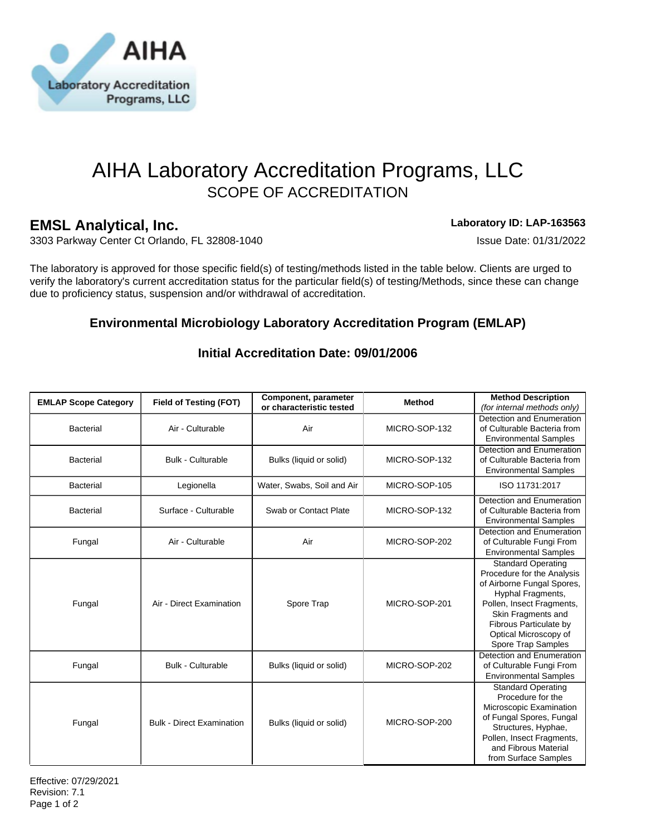

# AIHA Laboratory Accreditation Programs, LLC SCOPE OF ACCREDITATION

## **EMSL Analytical, Inc. Laboratory ID: LAP-163563**

3303 Parkway Center Ct Orlando, FL 32808-1040 **ISSUE DATE: 01/31/2022** Issue Date: 01/31/2022

The laboratory is approved for those specific field(s) of testing/methods listed in the table below. Clients are urged to verify the laboratory's current accreditation status for the particular field(s) of testing/Methods, since these can change due to proficiency status, suspension and/or withdrawal of accreditation.

## **Environmental Microbiology Laboratory Accreditation Program (EMLAP)**

| <b>EMLAP Scope Category</b> | <b>Field of Testing (FOT)</b>    | Component, parameter<br>or characteristic tested | <b>Method</b> | <b>Method Description</b><br>(for internal methods only)                                                                                                                                                                               |
|-----------------------------|----------------------------------|--------------------------------------------------|---------------|----------------------------------------------------------------------------------------------------------------------------------------------------------------------------------------------------------------------------------------|
| <b>Bacterial</b>            | Air - Culturable                 | Air                                              | MICRO-SOP-132 | Detection and Enumeration<br>of Culturable Bacteria from<br><b>Environmental Samples</b>                                                                                                                                               |
| <b>Bacterial</b>            | <b>Bulk - Culturable</b>         | Bulks (liquid or solid)                          | MICRO-SOP-132 | Detection and Enumeration<br>of Culturable Bacteria from<br><b>Environmental Samples</b>                                                                                                                                               |
| <b>Bacterial</b>            | Legionella                       | Water, Swabs, Soil and Air                       | MICRO-SOP-105 | ISO 11731:2017                                                                                                                                                                                                                         |
| <b>Bacterial</b>            | Surface - Culturable             | Swab or Contact Plate                            | MICRO-SOP-132 | Detection and Enumeration<br>of Culturable Bacteria from<br><b>Environmental Samples</b>                                                                                                                                               |
| Fungal                      | Air - Culturable                 | Air                                              | MICRO-SOP-202 | Detection and Enumeration<br>of Culturable Fungi From<br><b>Environmental Samples</b>                                                                                                                                                  |
| Fungal                      | Air - Direct Examination         | Spore Trap                                       | MICRO-SOP-201 | <b>Standard Operating</b><br>Procedure for the Analysis<br>of Airborne Fungal Spores,<br>Hyphal Fragments,<br>Pollen, Insect Fragments,<br>Skin Fragments and<br>Fibrous Particulate by<br>Optical Microscopy of<br>Spore Trap Samples |
| Fungal                      | <b>Bulk - Culturable</b>         | Bulks (liquid or solid)                          | MICRO-SOP-202 | Detection and Enumeration<br>of Culturable Fungi From<br><b>Environmental Samples</b>                                                                                                                                                  |
| Fungal                      | <b>Bulk - Direct Examination</b> | Bulks (liquid or solid)                          | MICRO-SOP-200 | <b>Standard Operating</b><br>Procedure for the<br>Microscopic Examination<br>of Fungal Spores, Fungal<br>Structures, Hyphae,<br>Pollen, Insect Fragments,<br>and Fibrous Material<br>from Surface Samples                              |

### **Initial Accreditation Date: 09/01/2006**